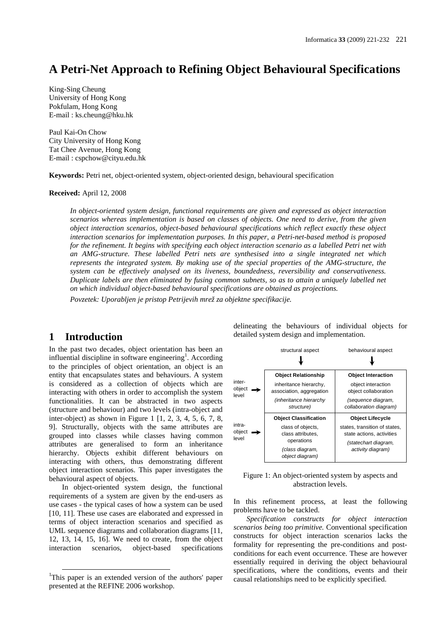# **A Petri-Net Approach to Refining Object Behavioural Specifications**

King-Sing Cheung University of Hong Kong Pokfulam, Hong Kong E-mail : ks.cheung@hku.hk

Paul Kai-On Chow City University of Hong Kong Tat Chee Avenue, Hong Kong E-mail : cspchow@cityu.edu.hk

**Keywords:** Petri net, object-oriented system, object-oriented design, behavioural specification

#### **Received:** April 12, 2008

*In object-oriented system design, functional requirements are given and expressed as object interaction scenarios whereas implementation is based on classes of objects. One need to derive, from the given object interaction scenarios, object-based behavioural specifications which reflect exactly these object interaction scenarios for implementation purposes. In this paper, a Petri-net-based method is proposed for the refinement. It begins with specifying each object interaction scenario as a labelled Petri net with an AMG-structure. These labelled Petri nets are synthesised into a single integrated net which represents the integrated system. By making use of the special properties of the AMG-structure, the system can be effectively analysed on its liveness, boundedness, reversibility and conservativeness. Duplicate labels are then eliminated by fusing common subnets, so as to attain a uniquely labelled net on which individual object-based behavioural specifications are obtained as projections.*

*Povzetek: Uporabljen je pristop Petrijevih mrež za objektne specifikacije.*

## **1 Introduction**

In the past two decades, object orientation has been an influential discipline in software engineering<sup>1</sup>. According to the principles of object orientation, an object is an entity that encapsulates states and behaviours. A system is considered as a collection of objects which are interacting with others in order to accomplish the system functionalities. It can be abstracted in two aspects (structure and behaviour) and two levels (intra-object and inter-object) as shown in Figure 1 [1, 2, 3, 4, 5, 6, 7, 8, 9]. Structurally, objects with the same attributes are grouped into classes while classes having common attributes are generalised to form an inheritance hierarchy. Objects exhibit different behaviours on interacting with others, thus demonstrating different object interaction scenarios. This paper investigates the behavioural aspect of objects.

In object-oriented system design, the functional requirements of a system are given by the end-users as use cases - the typical cases of how a system can be used [10, 11]. These use cases are elaborated and expressed in terms of object interaction scenarios and specified as UML sequence diagrams and collaboration diagrams [11, 12, 13, 14, 15, 16]. We need to create, from the object interaction scenarios, object-based specifications

delineating the behaviours of individual objects for detailed system design and implementation.

|                           | structural aspect                                                                | behavioural aspect                                                      |
|---------------------------|----------------------------------------------------------------------------------|-------------------------------------------------------------------------|
| inter-<br>object<br>level | <b>Object Relationship</b><br>inheritance hierarchy,<br>association, aggregation | <b>Object Interaction</b><br>object interaction<br>object collaboration |
|                           | (inheritance hierarchy<br>structure)                                             | (sequence diagram,<br>collaboration diagram)                            |
|                           | <b>Object Classification</b>                                                     | <b>Object Lifecycle</b>                                                 |
| intra-<br>object<br>level | class of objects,<br>class attributes,                                           | states, transition of states,<br>state actions, activities              |
|                           | operations<br>(class diagram,<br>object diagram)                                 | (statechart diagram,<br>activity diagram)                               |

Figure 1: An object-oriented system by aspects and abstraction levels.

In this refinement process, at least the following problems have to be tackled.

*Specification constructs for object interaction scenarios being too primitive.* Conventional specification constructs for object interaction scenarios lacks the formality for representing the pre-conditions and postconditions for each event occurrence. These are however essentially required in deriving the object behavioural specifications, where the conditions, events and their causal relationships need to be explicitly specified.

<sup>&</sup>lt;sup>1</sup>This paper is an extended version of the authors' paper presented at the REFINE 2006 workshop.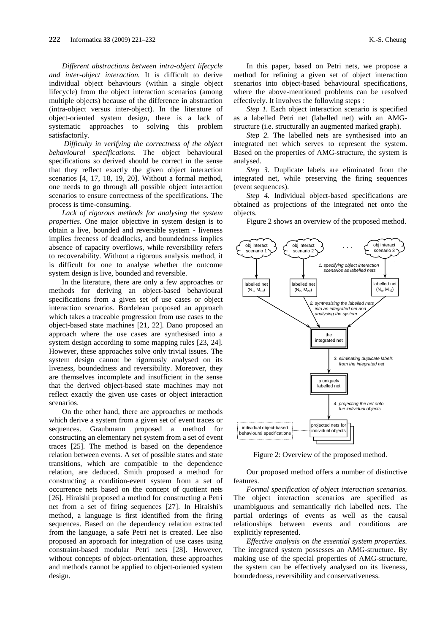*Different abstractions between intra-object lifecycle and inter-object interaction.* It is difficult to derive individual object behaviours (within a single object lifecycle) from the object interaction scenarios (among multiple objects) because of the difference in abstraction (intra-object versus inter-object). In the literature of object-oriented system design, there is a lack of systematic approaches to solving this problem satisfactorily.

*Difficulty in verifying the correctness of the object behavioural specifications.* The object behavioural specifications so derived should be correct in the sense that they reflect exactly the given object interaction scenarios [4, 17, 18, 19, 20]. Without a formal method, one needs to go through all possible object interaction scenarios to ensure correctness of the specifications. The process is time-consuming.

*Lack of rigorous methods for analysing the system properties*. One major objective in system design is to obtain a live, bounded and reversible system - liveness implies freeness of deadlocks, and boundedness implies absence of capacity overflows, while reversibility refers to recoverability. Without a rigorous analysis method, it is difficult for one to analyse whether the outcome system design is live, bounded and reversible.

In the literature, there are only a few approaches or methods for deriving an object-based behavioural specifications from a given set of use cases or object interaction scenarios. Bordeleau proposed an approach which takes a traceable progression from use cases to the object-based state machines [21, 22]. Dano proposed an approach where the use cases are synthesised into a system design according to some mapping rules [23, 24]. However, these approaches solve only trivial issues. The system design cannot be rigorously analysed on its liveness, boundedness and reversibility. Moreover, they are themselves incomplete and insufficient in the sense that the derived object-based state machines may not reflect exactly the given use cases or object interaction scenarios.

On the other hand, there are approaches or methods which derive a system from a given set of event traces or sequences. Graubmann proposed a method for constructing an elementary net system from a set of event traces [25]. The method is based on the dependence relation between events. A set of possible states and state transitions, which are compatible to the dependence relation, are deduced. Smith proposed a method for constructing a condition-event system from a set of occurrence nets based on the concept of quotient nets [26]. Hiraishi proposed a method for constructing a Petri net from a set of firing sequences [27]. In Hiraishi's method, a language is first identified from the firing sequences. Based on the dependency relation extracted from the language, a safe Petri net is created. Lee also proposed an approach for integration of use cases using constraint-based modular Petri nets [28]. However, without concepts of object-orientation, these approaches and methods cannot be applied to object-oriented system design.

In this paper, based on Petri nets, we propose a method for refining a given set of object interaction scenarios into object-based behavioural specifications, where the above-mentioned problems can be resolved effectively. It involves the following steps :

*Step 1.* Each object interaction scenario is specified as a labelled Petri net (labelled net) with an AMGstructure (i.e. structurally an augmented marked graph).

*Step 2.* The labelled nets are synthesised into an integrated net which serves to represent the system. Based on the properties of AMG-structure, the system is analysed.

*Step 3.* Duplicate labels are eliminated from the integrated net, while preserving the firing sequences (event sequences).

*Step 4.* Individual object-based specifications are obtained as projections of the integrated net onto the objects.

Figure 2 shows an overview of the proposed method.



Figure 2: Overview of the proposed method.

Our proposed method offers a number of distinctive features.

*Formal specification of object interaction scenarios.* The object interaction scenarios are specified as unambiguous and semantically rich labelled nets. The partial orderings of events as well as the causal relationships between events and conditions are explicitly represented.

*Effective analysis on the essential system properties.* The integrated system possesses an AMG-structure. By making use of the special properties of AMG-structure, the system can be effectively analysed on its liveness, boundedness, reversibility and conservativeness.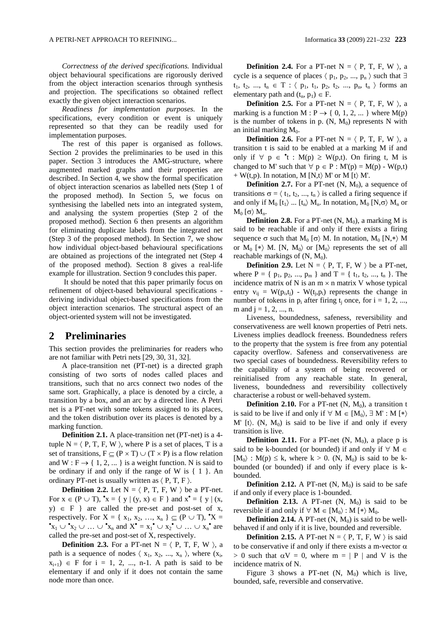*Correctness of the derived specifications.* Individual object behavioural specifications are rigorously derived from the object interaction scenarios through synthesis and projection. The specifications so obtained reflect exactly the given object interaction scenarios.

*Readiness for implementation purposes.* In the specifications, every condition or event is uniquely represented so that they can be readily used for implementation purposes.

The rest of this paper is organised as follows. Section 2 provides the preliminaries to be used in this paper. Section 3 introduces the AMG-structure, where augmented marked graphs and their properties are described. In Section 4, we show the formal specification of object interaction scenarios as labelled nets (Step 1 of the proposed method). In Section 5, we focus on synthesising the labelled nets into an integrated system, and analysing the system properties (Step 2 of the proposed method). Section 6 then presents an algorithm for eliminating duplicate labels from the integrated net (Step 3 of the proposed method). In Section 7, we show how individual object-based behavioural specifications are obtained as projections of the integrated net (Step 4 of the proposed method). Section 8 gives a real-life example for illustration. Section 9 concludes this paper.

It should be noted that this paper primarily focus on refinement of object-based behavioural specifications deriving individual object-based specifications from the object interaction scenarios. The structural aspect of an object-oriented system will not be investigated.

## **2 Preliminaries**

This section provides the preliminaries for readers who are not familiar with Petri nets [29, 30, 31, 32].

A place-transition net (PT-net) is a directed graph consisting of two sorts of nodes called places and transitions, such that no arcs connect two nodes of the same sort. Graphically, a place is denoted by a circle, a transition by a box, and an arc by a directed line. A Petri net is a PT-net with some tokens assigned to its places, and the token distribution over its places is denoted by a marking function.

**Definition 2.1.** A place-transition net (PT-net) is a 4 tuple  $N = \langle P, T, F, W \rangle$ , where P is a set of places, T is a set of transitions,  $F \subseteq (P \times T) \cup (T \times P)$  is a flow relation and  $W : F \rightarrow \{ 1, 2, \dots \}$  is a weight function. N is said to be ordinary if and only if the range of W is  $\{1\}$ . An ordinary PT-net is usually written as  $\langle P, T, F \rangle$ .

**Definition 2.2.** Let  $N = \langle P, T, F, W \rangle$  be a PT-net. For  $x \in (P \cup T)$ ,  $x = \{ y | (y, x) \in F \}$  and  $x^{\bullet} = \{ y | (x, y) \in F \}$  $y$ )  $\in$  F } are called the pre-set and post-set of x, respectively. For  $X = \{x_1, x_2, ..., x_n\} \subseteq (P \cup T), \mathbf{X} =$  $x_1 \cup x_2 \cup ... \cup x_n$  and  $X^* = x_1^* \cup x_2^* \cup ... \cup x_n^*$  are called the pre-set and post-set of X, respectively.

**Definition 2.3.** For a PT-net  $N = \langle P, T, F, W \rangle$ , a path is a sequence of nodes  $\langle x_1, x_2, ..., x_n \rangle$ , where  $(x_i,$  $x_{i+1}$ )  $\in$  F for i = 1, 2, ..., n-1. A path is said to be elementary if and only if it does not contain the same node more than once.

**Definition 2.4.** For a PT-net  $N = \langle P, T, F, W \rangle$ , a cycle is a sequence of places  $\langle p_1, p_2, ..., p_n \rangle$  such that  $\exists$  $t_1, t_2, ..., t_n \in T : \langle p_1, t_1, p_2, t_2, ..., p_n, t_n \rangle$  forms an elementary path and  $(t_n, p_1) \in F$ .

**Definition 2.5.** For a PT-net  $N = \langle P, T, F, W \rangle$ , a marking is a function M :  $P \rightarrow \{ 0, 1, 2, ... \}$  where M(p) is the number of tokens in p.  $(N, M_0)$  represents N with an initial marking  $M_0$ .

**Definition 2.6.** For a PT-net  $N = \langle P, T, F, W \rangle$ , a transition t is said to be enabled at a marking M if and only if  $\forall p \in \mathbf{t} : M(p) \ge W(p,t)$ . On firing t, M is changed to M' such that  $\forall p \in P : M'(p) = M(p) - W(p,t)$ + W(t,p). In notation, M  $[N,t \rangle$  M' or M  $[t \rangle$  M'.

**Definition 2.7.** For a PT-net  $(N, M_0)$ , a sequence of transitions  $\sigma = \langle t_1, t_2, ..., t_n \rangle$  is called a firing sequence if and only if  $M_0$  [t<sub>1</sub> $\rangle$  ... [t<sub>n</sub> $\rangle$   $M_n$ . In notation,  $M_0$  [N, $\sigma$  $\rangle$   $M_n$  or  $M_0$  [  $\sigma$   $M_n$ .

**Definition 2.8.** For a PT-net  $(N, M_0)$ , a marking M is said to be reachable if and only if there exists a firing sequence  $\sigma$  such that  $M_0$  [ $\sigma$ ) M. In notation,  $M_0$  [N,\*) M or  $M_0$  [\*) M. [N,  $M_0$ ) or [M<sub>0</sub>) represents the set of all reachable markings of  $(N, M_0)$ .

**Definition 2.9.** Let  $N = \langle P, T, F, W \rangle$  be a PT-net, where  $P = \{ p_1, p_2, ..., p_m \}$  and  $T = \{ t_1, t_2, ..., t_n \}$ . The incidence matrix of N is an  $m \times n$  matrix V whose typical entry  $v_{ij} = W(p_i,t_j) - W(t_i,p_i)$  represents the change in number of tokens in  $p_i$  after firing  $t_i$  once, for  $i = 1, 2, ...$ m and  $j = 1, 2, ..., n$ .

Liveness, boundedness, safeness, reversibility and conservativeness are well known properties of Petri nets. Liveness implies deadlock freeness. Boundedness refers to the property that the system is free from any potential capacity overflow. Safeness and conservativeness are two special cases of boundedness. Reversibility refers to the capability of a system of being recovered or reinitialised from any reachable state. In general, liveness, boundedness and reversibility collectively characterise a robust or well-behaved system.

**Definition 2.10.** For a PT-net  $(N, M_0)$ , a transition t is said to be live if and only if  $\forall M \in [M_0, \exists M': M \{*\}$ M' [t). (N,  $M_0$ ) is said to be live if and only if every transition is live.

**Definition 2.11.** For a PT-net  $(N, M_0)$ , a place p is said to be k-bounded (or bounded) if and only if  $\forall M \in$  $[M_0]$ :  $M(p) \le k$ , where  $k > 0$ . (N,  $M_0$ ) is said to be kbounded (or bounded) if and only if every place is kbounded.

**Definition 2.12.** A PT-net  $(N, M_0)$  is said to be safe if and only if every place is 1-bounded.

**Definition 2.13.** A PT-net  $(N, M_0)$  is said to be reversible if and only if  $\forall M \in [M_0 : M \{*\} M_0$ .

**Definition 2.14.** A PT-net  $(N, M_0)$  is said to be wellbehaved if and only if it is live, bounded and reversible.

**Definition 2.15.** A PT-net  $N = \langle P, T, F, W \rangle$  is said to be conservative if and only if there exists a m-vector  $\alpha$  $> 0$  such that  $\alpha V = 0$ , where  $m = |P|$  and V is the incidence matrix of N.

Figure 3 shows a PT-net  $(N, M_0)$  which is live, bounded, safe, reversible and conservative.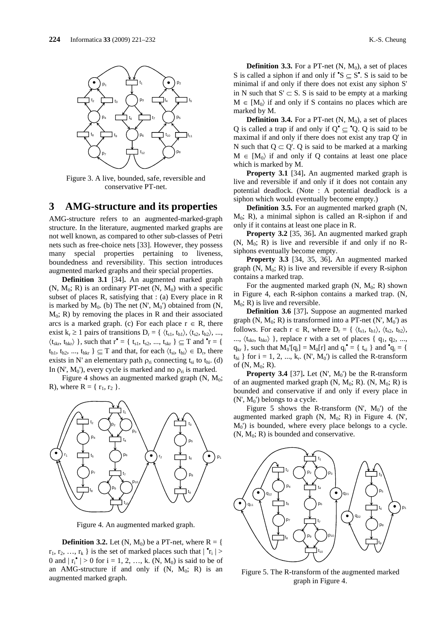

Figure 3. A live, bounded, safe, reversible and conservative PT-net.

### **3 AMG-structure and its properties**

AMG-structure refers to an augmented-marked-graph structure. In the literature, augmented marked graphs are not well known, as compared to other sub-classes of Petri nets such as free-choice nets [33]. However, they possess many special properties pertaining to liveness, boundedness and reversibility. This section introduces augmented marked graphs and their special properties.

**Definition 3.1** [34]**.** An augmented marked graph  $(N, M_0; R)$  is an ordinary PT-net  $(N, M_0)$  with a specific subset of places R, satisfying that : (a) Every place in R is marked by  $M_0$ . (b) The net  $(N', M_0')$  obtained from  $(N,$  $M_0$ ; R) by removing the places in R and their associated arcs is a marked graph. (c) For each place  $r \in R$ , there exist  $k_r \ge 1$  pairs of transitions  $D_r = \{ \langle t_{s1}, t_{h1} \rangle, \langle t_{s2}, t_{h2} \rangle, ...,$  $\langle t_{skr}, t_{hkr} \rangle$  }, such that  $r^{\bullet} = \{ t_{s1}, t_{s2}, ..., t_{skr} \} \subseteq T$  and  $\mathbf{r} = \{$  $t_{h1}$ ,  $t_{h2}$ , ...,  $t_{hkr}$   $\} \subseteq T$  and that, for each  $\langle t_{si}, t_{hi} \rangle \in D_r$ , there exists in N' an elementary path  $\rho_{ri}$  connecting t<sub>si</sub> to t<sub>hi</sub>. (d) In  $(N', M_0')$ , every cycle is marked and no  $\rho_{ri}$  is marked.

Figure 4 shows an augmented marked graph  $(N, M_0;$ R), where  $R = \{ r_1, r_2 \}$ .



Figure 4. An augmented marked graph.

**Definition 3.2.** Let  $(N, M_0)$  be a PT-net, where  $R = \{$  $r_1, r_2, ..., r_k$  } is the set of marked places such that  $|\cdot r_i|$  > 0 and  $|r_i^{\bullet}| > 0$  for  $i = 1, 2, ..., k$ . (N, M<sub>0</sub>) is said to be of an AMG-structure if and only if  $(N, M_0; R)$  is an augmented marked graph.

**Definition 3.3.** For a PT-net  $(N, M_0)$ , a set of places S is called a siphon if and only if  $\mathcal{S} \subseteq S^*$ . S is said to be minimal if and only if there does not exist any siphon S' in N such that  $S' \subset S$ . S is said to be empty at a marking  $M \in [M_0\rangle$  if and only if S contains no places which are marked by M.

**Definition 3.4.** For a PT-net  $(N, M_0)$ , a set of places Q is called a trap if and only if  $Q^{\bullet} \subseteq {}^{\bullet}Q$ . Q is said to be maximal if and only if there does not exist any trap Q' in N such that  $Q \subset Q'$ . Q is said to be marked at a marking  $M \in [M_0]$  if and only if O contains at least one place which is marked by M.

**Property 3.1** [34]**.** An augmented marked graph is live and reversible if and only if it does not contain any potential deadlock. (Note : A potential deadlock is a siphon which would eventually become empty.)

**Definition 3.5.** For an augmented marked graph (N,  $M_0$ ; R), a minimal siphon is called an R-siphon if and only if it contains at least one place in R.

**Property 3.2** [35, 36]**.** An augmented marked graph  $(N, M_0; R)$  is live and reversible if and only if no Rsiphons eventually become empty.

**Property 3.3** [34, 35, 36]**.** An augmented marked graph  $(N, M_0; R)$  is live and reversible if every R-siphon contains a marked trap.

For the augmented marked graph  $(N, M_0; R)$  shown in Figure 4, each R-siphon contains a marked trap. (N,  $M_0$ ; R) is live and reversible.

**Definition 3.6** [37]**.** Suppose an augmented marked graph  $(N, M_0; R)$  is transformed into a PT-net  $(N', M_0')$  as follows. For each  $r \in R$ , where  $D_r = \{ \langle t_{s1}, t_{h1} \rangle, \langle t_{s2}, t_{h2} \rangle, \langle t_{h2}, t_{h2} \rangle\}$ ...,  $\langle t_{skr}, t_{hkr} \rangle$  }, replace r with a set of places {  $q_1, q_2, ...$ ,  $q_{kr}$ }, such that  $M_0' [q_i] = M_0[r]$  and  $q_i^{\bullet} = \{ t_{si} \}$  and  $\mathbf{\hat{q}}_i = \{$  $t_{hi}$  } for i = 1, 2, ...,  $k_r$ . (N', M<sub>0</sub>') is called the R-transform of  $(N, M_0; R)$ .

**Property 3.4** [37]. Let  $(N', M_0')$  be the R-transform of an augmented marked graph  $(N, M_0; R)$ .  $(N, M_0; R)$  is bounded and conservative if and only if every place in  $(N', M_0')$  belongs to a cycle.

Figure 5 shows the R-transform  $(N', M_0')$  of the augmented marked graph  $(N, M_0; R)$  in Figure 4.  $(N', M_0; R)$  $M_0$ ) is bounded, where every place belongs to a cycle.  $(N, M_0; R)$  is bounded and conservative.



Figure 5. The R-transform of the augmented marked graph in Figure 4.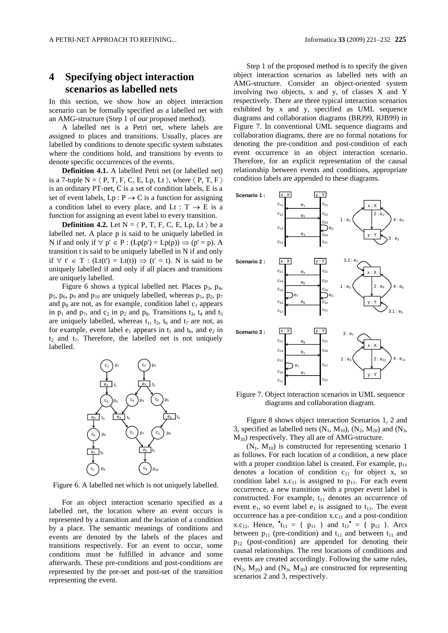# **4 Specifying object interaction scenarios as labelled nets**

In this section, we show how an object interaction scenario can be formally specified as a labelled net with an AMG-structure (Step 1 of our proposed method).

A labelled net is a Petri net, where labels are assigned to places and transitions. Usually, places are labelled by conditions to denote specific system substates where the conditions hold, and transitions by events to denote specific occurrences of the events.

**Definition 4.1.** A labelled Petri net (or labelled net) is a 7-tuple N =  $\langle P, T, F, C, E, Lp, Lt \rangle$ , where  $\langle P, T, F \rangle$ is an ordinary PT-net, C is a set of condition labels, E is a set of event labels,  $Lp : P \to C$  is a function for assigning a condition label to every place, and Lt :  $T \rightarrow E$  is a function for assigning an event label to every transition.

**Definition 4.2.** Let  $N = \langle P, T, F, C, E, Lp, Lt \rangle$  be a labelled net. A place p is said to be uniquely labelled in N if and only if  $\forall p' \in P$  :  $(Lp(p') = Lp(p)) \Rightarrow (p' = p)$ . A transition t is said to be uniquely labelled in N if and only if  $\forall$  t'  $\in$  T : (Lt(t') = Lt(t))  $\Rightarrow$  (t' = t). N is said to be uniquely labelled if and only if all places and transitions are uniquely labelled.

Figure 6 shows a typical labelled net. Places  $p_3$ ,  $p_4$ ,  $p_5$ ,  $p_6$ ,  $p_9$  and  $p_{10}$  are uniquely labelled, whereas  $p_1$ ,  $p_2$ ,  $p_7$ and  $p_8$  are not, as for example, condition label  $c_1$  appears in  $p_1$  and  $p_7$ , and  $c_2$  in  $p_2$  and  $p_8$ . Transitions  $t_3$ ,  $t_4$  and  $t_5$ are uniquely labelled, whereas  $t_1$ ,  $t_2$ ,  $t_6$  and  $t_7$  are not, as for example, event label  $e_1$  appears in  $t_1$  and  $t_6$ , and  $e_2$  in  $t_2$  and  $t_7$ . Therefore, the labelled net is not uniquely labelled.



Figure 6. A labelled net which is not uniquely labelled.

For an object interaction scenario specified as a labelled net, the location where an event occurs is represented by a transition and the location of a condition by a place. The semantic meanings of conditions and events are denoted by the labels of the places and transitions respectively. For an event to occur, some conditions must be fulfilled in advance and some afterwards. These pre-conditions and post-conditions are represented by the pre-set and post-set of the transition representing the event.

Step 1 of the proposed method is to specify the given object interaction scenarios as labelled nets with an AMG-structure. Consider an object-oriented system involving two objects, x and y, of classes X and Y respectively. There are three typical interaction scenarios exhibited by x and y, specified as UML sequence diagrams and collaboration diagrams (BRJ99, RJB99) in Figure 7. In conventional UML sequence diagrams and collaboration diagrams, there are no formal notations for denoting the pre-condition and post-condition of each event occurrence in an object interaction scenario. Therefore, for an explicit representation of the causal relationship between events and conditions, appropriate condition labels are appended to these diagrams.



Figure 7. Object interaction scenarios in UML sequence diagrams and collaboration diagram.

Figure 8 shows object interaction Scenarios 1, 2 and 3, specified as labelled nets  $(N_1, M_{10})$ ,  $(N_2, M_{20})$  and  $(N_3,$  $M_{30}$ ) respectively. They all are of AMG-structure.

 $(N_1, M_{10})$  is constructed for representing scenario 1 as follows. For each location of a condition, a new place with a proper condition label is created. For example,  $p_{11}$ denotes a location of condition  $c_{11}$  for object x, so condition label  $x.c_{11}$  is assigned to  $p_{11}$ . For each event occurrence, a new transition with a proper event label is constructed. For example,  $t_{11}$  denotes an occurrence of event  $e_1$ , so event label  $e_1$  is assigned to  $t_{11}$ . The event occurrence has a pre-condition  $x.c_{11}$  and a post-condition x.c<sub>12</sub>. Hence,  $^{\bullet}$ t<sub>11</sub> = {  $p_{11}$  } and t<sub>11</sub><sup> $^{\bullet}$ </sup> = {  $p_{12}$  }. Arcs between  $p_{11}$  (pre-condition) and  $t_{11}$  and between  $t_{11}$  and  $p_{12}$  (post-condition) are appended for denoting their causal relationships. The rest locations of conditions and events are created accordingly. Following the same rules,  $(N_2, M_{20})$  and  $(N_3, M_{30})$  are constructed for representing scenarios 2 and 3, respectively.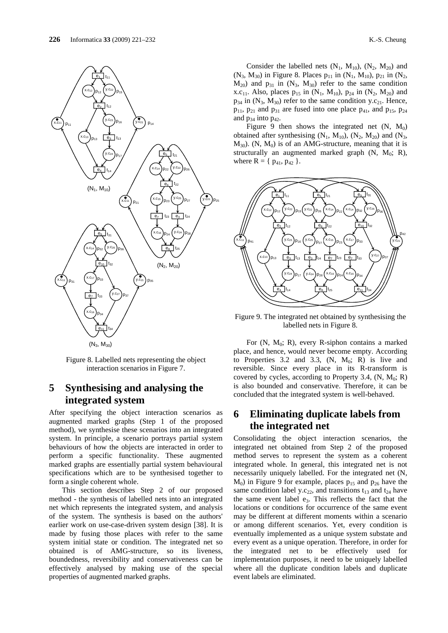

Figure 8. Labelled nets representing the object interaction scenarios in Figure 7.

# **5 Synthesising and analysing the integrated system**

After specifying the object interaction scenarios as augmented marked graphs (Step 1 of the proposed method), we synthesise these scenarios into an integrated system. In principle, a scenario portrays partial system behaviours of how the objects are interacted in order to perform a specific functionality. These augmented marked graphs are essentially partial system behavioural specifications which are to be synthesised together to form a single coherent whole.

This section describes Step 2 of our proposed method - the synthesis of labelled nets into an integrated net which represents the integrated system, and analysis of the system. The synthesis is based on the authors' earlier work on use-case-driven system design [38]. It is made by fusing those places with refer to the same system initial state or condition. The integrated net so obtained is of AMG-structure, so its liveness, boundedness, reversibility and conservativeness can be effectively analysed by making use of the special properties of augmented marked graphs.

Consider the labelled nets  $(N_1, M_{10}), (N_2, M_{20})$  and (N<sub>3</sub>, M<sub>30</sub>) in Figure 8. Places  $p_{11}$  in (N<sub>1</sub>, M<sub>10</sub>),  $p_{21}$  in (N<sub>2</sub>,  $M_{20}$ ) and  $p_{31}$  in  $(N_3, M_{30})$  refer to the same condition x.c<sub>11</sub>. Also, places  $p_{15}$  in (N<sub>1</sub>, M<sub>10</sub>),  $p_{24}$  in (N<sub>2</sub>, M<sub>20</sub>) and  $p_{34}$  in  $(N_3, M_{30})$  refer to the same condition y.c<sub>21</sub>. Hence,  $p_{11}$ ,  $p_{21}$  and  $p_{31}$  are fused into one place  $p_{41}$ , and  $p_{15}$ ,  $p_{24}$ and  $p_{34}$  into  $p_{42}$ .

Figure 9 then shows the integrated net  $(N, M_0)$ obtained after synthesising  $(N_1, M_{10}), (N_2, M_{20})$  and  $(N_3,$  $M_{30}$ ). (N,  $M_0$ ) is of an AMG-structure, meaning that it is structurally an augmented marked graph  $(N, M_0; R)$ , where  $R = \{ p_{41}, p_{42} \}$ .



Figure 9. The integrated net obtained by synthesising the labelled nets in Figure 8.

For  $(N, M_0; R)$ , every R-siphon contains a marked place, and hence, would never become empty. According to Properties 3.2 and 3.3,  $(N, M_0; R)$  is live and reversible. Since every place in its R-transform is covered by cycles, according to Property 3.4,  $(N, M_0; R)$ is also bounded and conservative. Therefore, it can be concluded that the integrated system is well-behaved.

# **6 Eliminating duplicate labels from the integrated net**

Consolidating the object interaction scenarios, the integrated net obtained from Step 2 of the proposed method serves to represent the system as a coherent integrated whole. In general, this integrated net is not necessarily uniquely labelled. For the integrated net (N,  $M_0$ ) in Figure 9 for example, places  $p_{15}$  and  $p_{26}$  have the same condition label y.c<sub>22</sub>, and transitions  $t_{13}$  and  $t_{24}$  have the same event label  $e_3$ . This reflects the fact that the locations or conditions for occurrence of the same event may be different at different moments within a scenario or among different scenarios. Yet, every condition is eventually implemented as a unique system substate and every event as a unique operation. Therefore, in order for the integrated net to be effectively used for implementation purposes, it need to be uniquely labelled where all the duplicate condition labels and duplicate event labels are eliminated.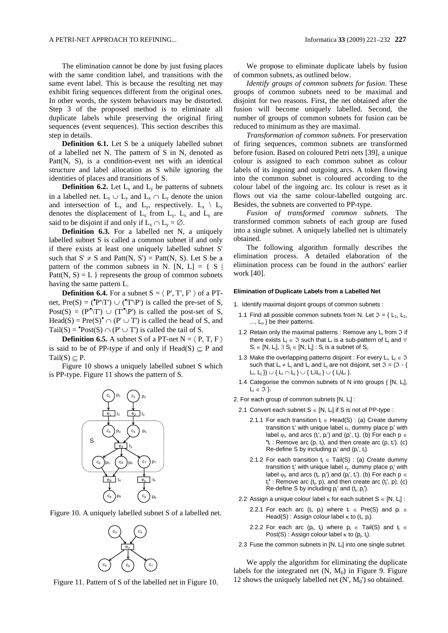The elimination cannot be done by just fusing places with the same condition label, and transitions with the same event label. This is because the resulting net may exhibit firing sequences different from the original ones. In other words, the system behaviours may be distorted. Step 3 of the proposed method is to eliminate all duplicate labels while preserving the original firing sequences (event sequences). This section describes this step in details.

**Definition 6.1.** Let S be a uniquely labelled subnet of a labelled net N. The pattern of S in N, denoted as Patt(N, S), is a condition-event net with an identical structure and label allocation as S while ignoring the identities of places and transitions of S.

**Definition 6.2.** Let  $L_x$  and  $L_y$  be patterns of subnets in a labelled net.  $L_x \cup L_y$  and  $L_x \cap L_y$  denote the union and intersection of  $L_x$  and  $L_y$ , respectively.  $L_x \setminus L_y$ denotes the displacement of  $L_x$  from  $L_y$ .  $L_x$  and  $L_y$  are said to be disjoint if and only if  $L_x \cap L_y = \emptyset$ .

**Definition 6.3.** For a labelled net N, a uniquely labelled subnet S is called a common subnet if and only if there exists at least one uniquely labelled subnet S' such that  $S' \neq S$  and Patt(N, S') = Patt(N, S). Let S be a pattern of the common subnets in N. [N, L] =  $\{S \mid$ Patt(N, S) = L } represents the group of common subnets having the same pattern L.

**Definition 6.4.** For a subnet  $S = \langle P', T', F' \rangle$  of a PTnet,  $Pre(S) = ({}^{\bullet}P \setminus T') \cup ({}^{\bullet}T \setminus P')$  is called the pre-set of S, Post(S) =  $(P''\T) \cup (T''\P)$  is called the post-set of S, Head(S) = Pre(S)<sup> $\bullet$ </sup>  $\cap$  (P'  $\cup$  T') is called the head of S, and  $Tail(S) = \text{°Post}(S) \cap (P' \cup T')$  is called the tail of S.

**Definition 6.5.** A subnet S of a PT-net  $N = \langle P, T, F \rangle$ is said to be of PP-type if and only if Head(S)  $\subseteq$  P and Tail(S)  $\subseteq$  P.

Figure 10 shows a uniquely labelled subnet S which is PP-type. Figure 11 shows the pattern of S.



Figure 10. A uniquely labelled subnet S of a labelled net.



Figure 11. Pattern of S of the labelled net in Figure 10.

We propose to eliminate duplicate labels by fusion of common subnets, as outlined below.

*Identify groups of common subnets for fusion.* These groups of common subnets need to be maximal and disjoint for two reasons. First, the net obtained after the fusion will become uniquely labelled. Second, the number of groups of common subnets for fusion can be reduced to minimum as they are maximal.

*Transformation of common subnets.* For preservation of firing sequences, common subnets are transformed before fusion. Based on coloured Petri nets [39], a unique colour is assigned to each common subnet as colour labels of its ingoing and outgoing arcs. A token flowing into the common subnet is coloured according to the colour label of the ingoing arc. Its colour is reset as it flows out via the same colour-labelled outgoing arc. Besides, the subnets are converted to PP-type.

*Fusion of transformed common subnets.* The transformed common subnets of each group are fused into a single subnet. A uniquely labelled net is ultimately obtained.

The following algorithm formally describes the elimination process. A detailed elaboration of the elimination process can be found in the authors' earlier work [40].

#### **Elimination of Duplicate Labels from a Labelled Net**

1. Identify maximal disjoint groups of common subnets :

- 1.1 Find all possible common subnets from N. Let  $\mathfrak{I} = \{ L_1, L_2, \ldots \}$  $..., L_n$  be their patterns.
- 1.2 Retain only the maximal patterns : Remove any  $L_i$  from  $\Im$  if there exists  $L_i \in \mathfrak{I}$  such that  $L_i$  is a sub-pattern of  $L_i$  and  $\forall$  $S_i \in [N, L_i], \exists S_j \in [N, L_i]$  :  $S_i$  is a subnet of  $S_j$ .
- 1.3 Make the overlapping patterns disjoint : For every  $L_i$ ,  $L_i \in \mathfrak{I}$ such that  $L_i \neq L_i$  and  $L_i$  and  $L_j$  are not disjoint, set  $\mathfrak{I} = (\mathfrak{I} - \{$  $L_i, L_j$  })  $\cup$  {  $L_i \cap L_j$  }  $\cup$  {  $L_i\setminus L_j$  }.
- 1.4 Categorise the common subnets of N into groups { [N, Li],  $L_i \in \mathfrak{I}$  }.
- 2. For each group of common subnets [N, Li] :
	- 2.1 Convert each subnet  $S \in [N, L]$  if S is not of PP-type :
		- 2.1.1 For each transition  $t_i \in Head(S)$ : (a) Create dummy transition t<sub>i</sub>' with unique label  $\varepsilon_i$ , dummy place  $p_i$ ' with label  $\varphi_i$ , and arcs (t<sub>i</sub>', p<sub>i</sub>') and (p<sub>i</sub>', t<sub>i</sub>). (b) For each  $p \in$  $t_i$ : Remove arc (p,  $t_i$ ), and then create arc (p,  $t_i'$ ). (c) Re-define S by including  $p_i$ ' and  $(p_i', t_i)$ .
		- 2.1.2 For each transition  $t_i \in Tail(S) : (a)$  Create dummy transition  $t_j$ ' with unique label  $\varepsilon_j$ , dummy place  $p_j$ ' with label  $\varphi_i$ , and arcs (t<sub>i</sub>, p<sub>i</sub>') and (p<sub>i</sub>', t<sub>i</sub>'). (b) For each p  $\in$  $t_i^*$ : Remove arc  $(t_i, p)$ , and then create arc  $(t_i, p)$ . (c) Re-define S by including  $p_j$ ' and  $(t_j, p_j')$ .
	- 2.2 Assign a unique colour label  $\kappa$  for each subnet  $S \in [N, L]$ :
		- 2.2.1 For each arc  $(t_i, p_i)$  where  $t_i \in Pre(S)$  and  $p_i \in$ Head(S) : Assign colour label  $\kappa$  to (t<sub>i</sub>, p<sub>i</sub>).
		- 2.2.2 For each arc (p<sub>i</sub>, t<sub>i</sub>) where  $p_i \in \text{Tail}(S)$  and t<sub>i</sub>  $\in$ Post(S) : Assign colour label  $\kappa$  to (p<sub>j</sub>, t<sub>j</sub>).
	- 2.3 Fuse the common subnets in [N, L<sub>i</sub>] into one single subnet.

We apply the algorithm for eliminating the duplicate labels for the integrated net  $(N, M_0)$  in Figure 9. Figure 12 shows the uniquely labelled net  $(N', M_0')$  so obtained.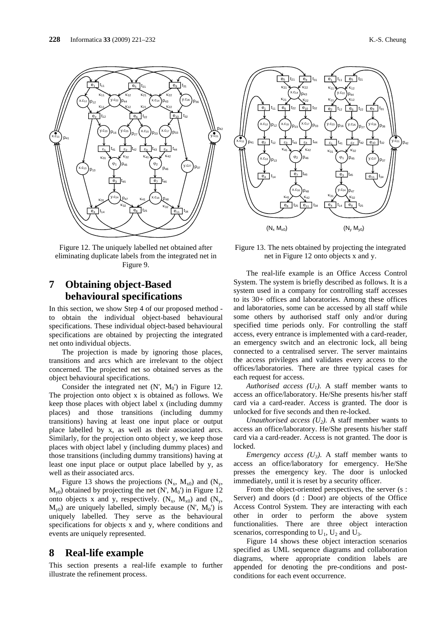

Figure 12. The uniquely labelled net obtained after eliminating duplicate labels from the integrated net in Figure 9.

# **7 Obtaining object-Based behavioural specifications**

In this section, we show Step 4 of our proposed method to obtain the individual object-based behavioural specifications. These individual object-based behavioural specifications are obtained by projecting the integrated net onto individual objects.

The projection is made by ignoring those places, transitions and arcs which are irrelevant to the object concerned. The projected net so obtained serves as the object behavioural specifications.

Consider the integrated net  $(N', M_0')$  in Figure 12. The projection onto object x is obtained as follows. We keep those places with object label x (including dummy places) and those transitions (including dummy transitions) having at least one input place or output place labelled by x, as well as their associated arcs. Similarly, for the projection onto object y, we keep those places with object label y (including dummy places) and those transitions (including dummy transitions) having at least one input place or output place labelled by y, as well as their associated arcs.

Figure 13 shows the projections  $(N_x, M_{x0})$  and  $(N_y, M_{y0})$  $M_{\nu 0}$ ) obtained by projecting the net  $(N, M_0)$  in Figure 12 onto objects x and y, respectively.  $(N_x, M_{x0})$  and  $(N_y,$  $M_{v0}$ ) are uniquely labelled, simply because (N',  $M_0$ ) is uniquely labelled. They serve as the behavioural specifications for objects x and y, where conditions and events are uniquely represented.

### **8 Real-life example**

This section presents a real-life example to further illustrate the refinement process.



Figure 13. The nets obtained by projecting the integrated net in Figure 12 onto objects x and y.

The real-life example is an Office Access Control System. The system is briefly described as follows. It is a system used in a company for controlling staff accesses to its 30+ offices and laboratories. Among these offices and laboratories, some can be accessed by all staff while some others by authorised staff only and/or during specified time periods only. For controlling the staff access, every entrance is implemented with a card-reader, an emergency switch and an electronic lock, all being connected to a centralised server. The server maintains the access privileges and validates every access to the offices/laboratories. There are three typical cases for each request for access.

*Authorised access*  $(U_1)$ *.* A staff member wants to access an office/laboratory. He/She presents his/her staff card via a card-reader. Access is granted. The door is unlocked for five seconds and then re-locked.

*Unauthorised access (* $U_2$ *).* A staff member wants to access an office/laboratory. He/She presents his/her staff card via a card-reader. Access is not granted. The door is locked.

*Emergency access (* $U_3$ *).* A staff member wants to access an office/laboratory for emergency. He/She presses the emergency key. The door is unlocked immediately, until it is reset by a security officer.

From the object-oriented perspectives, the server (s : Server) and doors (d : Door) are objects of the Office Access Control System. They are interacting with each other in order to perform the above system functionalities. There are three object interaction scenarios, corresponding to  $U_1$ ,  $U_2$  and  $U_3$ .

Figure 14 shows these object interaction scenarios specified as UML sequence diagrams and collaboration diagrams, where appropriate condition labels are appended for denoting the pre-conditions and postconditions for each event occurrence.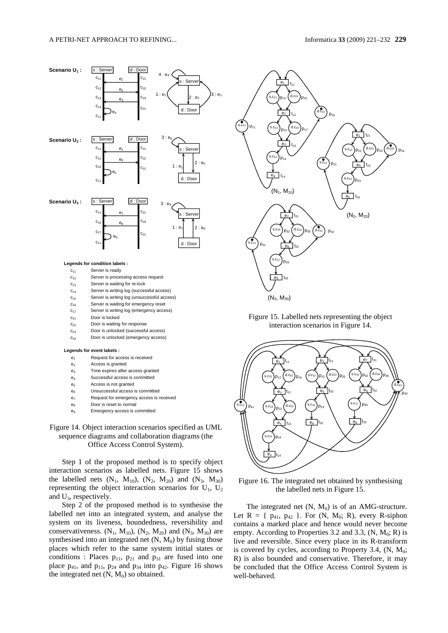







The integrated net  $(N, M_0)$  is of an AMG-structure. Let  $R = \{ p_{41}, p_{42} \}$ . For  $(N, M_0; R)$ , every R-siphon contains a marked place and hence would never become empty. According to Properties 3.2 and 3.3,  $(N, M_0; R)$  is live and reversible. Since every place in its R-transform is covered by cycles, according to Property 3.4,  $(N, M_0;$ R) is also bounded and conservative. Therefore, it may be concluded that the Office Access Control System is well-behaved.

- $c_{21}$  Door is locked
- c<sub>22</sub> Door is waiting for response
- $c_{23}$  Door is unlocked (successful access)
- c<sub>24</sub> Door is unlocked (emergency access)

#### **Legends for event labels :**

- e<sub>1</sub> Request for access is received
- e<sub>2</sub> Access is granted
- e3 Time expires after access granted
- e4 Successful access is committed
- e<sub>5</sub> Access is not granted
- e<sub>6</sub> Unsuccessful access is committed e7 Request for emergency access is received
- e<sub>8</sub> Door is reset to normal
- Emergency access is committed

#### Figure 14. Object interaction scenarios specified as UML sequence diagrams and collaboration diagrams (the Office Access Control System).

Step 1 of the proposed method is to specify object interaction scenarios as labelled nets. Figure 15 shows the labelled nets  $(N_1, M_{10})$ ,  $(N_2, M_{20})$  and  $(N_3, M_{30})$ representing the object interaction scenarios for  $U_1$ ,  $U_2$ and  $U_3$ , respectively.

Step 2 of the proposed method is to synthesise the labelled net into an integrated system, and analyse the system on its liveness, boundedness, reversibility and conservativeness.  $(N_1, M_{10}), (N_2, M_{20})$  and  $(N_3, M_{30})$  are synthesised into an integrated net  $(N, M<sub>0</sub>)$  by fusing those places which refer to the same system initial states or conditions : Places  $p_{11}$ ,  $p_{21}$  and  $p_{31}$  are fused into one place  $p_{41}$ , and  $p_{15}$ ,  $p_{24}$  and  $p_{34}$  into  $p_{42}$ . Figure 16 shows the integrated net  $(N, M_0)$  so obtained.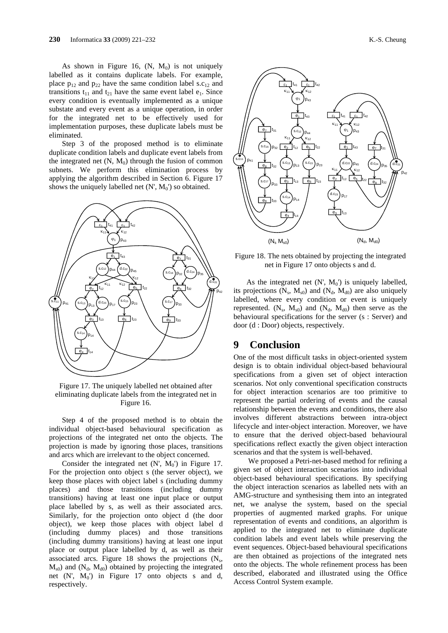As shown in Figure 16,  $(N, M_0)$  is not uniquely labelled as it contains duplicate labels. For example, place  $p_{12}$  and  $p_{22}$  have the same condition label s.c<sub>12</sub> and transitions  $t_{11}$  and  $t_{21}$  have the same event label  $e_1$ . Since every condition is eventually implemented as a unique substate and every event as a unique operation, in order for the integrated net to be effectively used for implementation purposes, these duplicate labels must be eliminated.

Step 3 of the proposed method is to eliminate duplicate condition labels and duplicate event labels from the integrated net  $(N, M_0)$  through the fusion of common subnets. We perform this elimination process by applying the algorithm described in Section 6. Figure 17 shows the uniquely labelled net  $(N', M_0')$  so obtained.



Figure 17. The uniquely labelled net obtained after eliminating duplicate labels from the integrated net in Figure 16.

Step 4 of the proposed method is to obtain the individual object-based behavioural specification as projections of the integrated net onto the objects. The projection is made by ignoring those places, transitions and arcs which are irrelevant to the object concerned.

Consider the integrated net  $(N', M_0')$  in Figure 17. For the projection onto object s (the server object), we keep those places with object label s (including dummy places) and those transitions (including dummy transitions) having at least one input place or output place labelled by s, as well as their associated arcs. Similarly, for the projection onto object d (the door object), we keep those places with object label d (including dummy places) and those transitions (including dummy transitions) having at least one input place or output place labelled by d, as well as their associated arcs. Figure 18 shows the projections  $(N_s,$  $M<sub>s0</sub>$ ) and ( $N<sub>d</sub>$ ,  $M<sub>d0</sub>$ ) obtained by projecting the integrated net  $(N', M_0')$  in Figure 17 onto objects s and d, respectively.



Figure 18. The nets obtained by projecting the integrated net in Figure 17 onto objects s and d.

As the integrated net  $(N', M_0')$  is uniquely labelled, its projections  $(N_s, M_{s0})$  and  $(N_d, M_{d0})$  are also uniquely labelled, where every condition or event is uniquely represented.  $(N_s, M_{s0})$  and  $(N_d, M_{d0})$  then serve as the behavioural specifications for the server (s : Server) and door (d : Door) objects, respectively.

# **9 Conclusion**

One of the most difficult tasks in object-oriented system design is to obtain individual object-based behavioural specifications from a given set of object interaction scenarios. Not only conventional specification constructs for object interaction scenarios are too primitive to represent the partial ordering of events and the causal relationship between the events and conditions, there also involves different abstractions between intra-object lifecycle and inter-object interaction. Moreover, we have to ensure that the derived object-based behavioural specifications reflect exactly the given object interaction scenarios and that the system is well-behaved.

We proposed a Petri-net-based method for refining a given set of object interaction scenarios into individual object-based behavioural specifications. By specifying the object interaction scenarios as labelled nets with an AMG-structure and synthesising them into an integrated net, we analyse the system, based on the special properties of augmented marked graphs. For unique representation of events and conditions, an algorithm is applied to the integrated net to eliminate duplicate condition labels and event labels while preserving the event sequences. Object-based behavioural specifications are then obtained as projections of the integrated nets onto the objects. The whole refinement process has been described, elaborated and illustrated using the Office Access Control System example.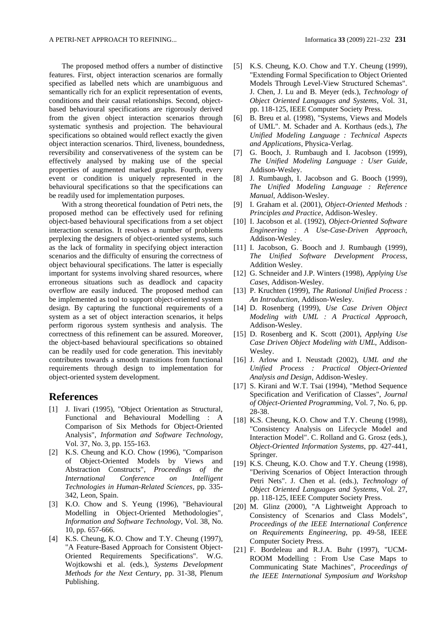The proposed method offers a number of distinctive features. First, object interaction scenarios are formally specified as labelled nets which are unambiguous and semantically rich for an explicit representation of events, conditions and their causal relationships. Second, objectbased behavioural specifications are rigorously derived from the given object interaction scenarios through systematic synthesis and projection. The behavioural specifications so obtained would reflect exactly the given object interaction scenarios. Third, liveness, boundedness, reversibility and conservativeness of the system can be effectively analysed by making use of the special properties of augmented marked graphs. Fourth, every event or condition is uniquely represented in the behavioural specifications so that the specifications can be readily used for implementation purposes.

With a strong theoretical foundation of Petri nets, the proposed method can be effectively used for refining object-based behavioural specifications from a set object interaction scenarios. It resolves a number of problems perplexing the designers of object-oriented systems, such as the lack of formality in specifying object interaction scenarios and the difficulty of ensuring the correctness of object behavioural specifications. The latter is especially important for systems involving shared resources, where erroneous situations such as deadlock and capacity overflow are easily induced. The proposed method can be implemented as tool to support object-oriented system design. By capturing the functional requirements of a system as a set of object interaction scenarios, it helps perform rigorous system synthesis and analysis. The correctness of this refinement can be assured. Moreover, the object-based behavioural specifications so obtained can be readily used for code generation. This inevitably contributes towards a smooth transitions from functional requirements through design to implementation for object-oriented system development.

## **References**

- [1] J. Iivari (1995), "Object Orientation as Structural, Functional and Behavioural Modelling : A Comparison of Six Methods for Object-Oriented Analysis", *Information and Software Technology*, Vol. 37, No. 3, pp. 155-163.
- [2] K.S. Cheung and K.O. Chow (1996), "Comparison of Object-Oriented Models by Views and Abstraction Constructs", *Proceedings of the International Conference on Intelligent Technologies in Human-Related Sciences*, pp. 335- 342, Leon, Spain.
- [3] K.O. Chow and S. Yeung (1996), "Behavioural Modelling in Object-Oriented Methodologies", *Information and Software Technology*, Vol. 38, No. 10, pp. 657-666.
- [4] K.S. Cheung, K.O. Chow and T.Y. Cheung (1997), "A Feature-Based Approach for Consistent Object-Oriented Requirements Specifications". W.G. Wojtkowshi et al. (eds.), *Systems Development Methods for the Next Century*, pp. 31-38, Plenum Publishing.
- [5] K.S. Cheung, K.O. Chow and T.Y. Cheung (1999), "Extending Formal Specification to Object Oriented Models Through Level-View Structured Schemas". J. Chen, J. Lu and B. Meyer (eds.), *Technology of Object Oriented Languages and Systems*, Vol. 31, pp. 118-125, IEEE Computer Society Press.
- [6] B. Breu et al. (1998), "Systems, Views and Models of UML". M. Schader and A. Korthaus (eds.), *The Unified Modeling Language : Technical Aspects and Applications*, Physica-Verlag.
- [7] G. Booch, J. Rumbaugh and I. Jacobson (1999), *The Unified Modeling Language : User Guide*, Addison-Wesley.
- [8] J. Rumbaugh, I. Jacobson and G. Booch (1999), *The Unified Modeling Language : Reference Manual*, Addison-Wesley.
- [9] I. Graham et al. (2001), *Object-Oriented Methods : Principles and Practice*, Addison-Wesley.
- [10] I. Jacobson et al. (1992), *Object-Oriented Software Engineering : A Use-Case-Driven Approach*, Addison-Wesley.
- [11] I. Jacobson, G. Booch and J. Rumbaugh (1999), *The Unified Software Development Process*, Addition Wesley.
- [12] G. Schneider and J.P. Winters (1998), *Applying Use Cases*, Addison-Wesley.
- [13] P. Kruchten (1999), *The Rational Unified Process : An Introduction*, Addison-Wesley.
- [14] D. Rosenberg (1999), *Use Case Driven Object Modeling with UML : A Practical Approach*, Addison-Wesley.
- [15] D. Rosenberg and K. Scott (2001), *Applying Use Case Driven Object Modeling with UML*, Addison-Wesley.
- [16] J. Arlow and I. Neustadt (2002), *UML and the Unified Process : Practical Object-Oriented Analysis and Design*, Addison-Wesley.
- [17] S. Kirani and W.T. Tsai (1994), "Method Sequence Specification and Verification of Classes", *Journal of Object-Oriented Programming*, Vol. 7, No. 6, pp. 28-38.
- [18] K.S. Cheung, K.O. Chow and T.Y. Cheung (1998), "Consistency Analysis on Lifecycle Model and Interaction Model". C. Rolland and G. Grosz (eds.), *Object-Oriented Information Systems*, pp. 427-441, Springer.
- [19] K.S. Cheung, K.O. Chow and T.Y. Cheung (1998), "Deriving Scenarios of Object Interaction through Petri Nets". J. Chen et al. (eds.), *Technology of Object Oriented Languages and Systems*, Vol. 27, pp. 118-125, IEEE Computer Society Press.
- [20] M. Glinz (2000), "A Lightweight Approach to Consistency of Scenarios and Class Models", *Proceedings of the IEEE International Conference on Requirements Engineering*, pp. 49-58, IEEE Computer Society Press.
- [21] F. Bordeleau and R.J.A. Buhr (1997), "UCM-ROOM Modelling : From Use Case Maps to Communicating State Machines", *Proceedings of the IEEE International Symposium and Workshop*